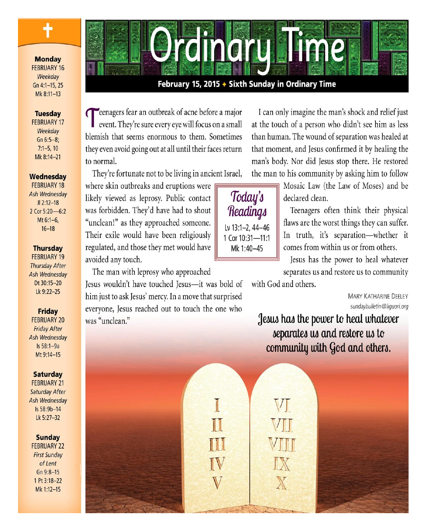**Monday FEBRUARY 16** Weekday Gn 4:1-15, 25 Mk 8:11-13

╉

## **Tuesday**

**FEBRUARY 17** Weekdav  $Gn 6:5-8;$  $7:1-5, 10$ Mk 8:14-21

#### Wednesdav

**FEBRUARY 18** Ash Wednesday  $JI 2:12-18$ 2 Cor 5:20-6:2 Mt $6:1-6$ .  $16 - 18$ 

#### **Thursdav**

**FEBRUARY 19 Thursday After** Ash Wednesday Dt 30:15-20 Lk 9:22-25

**Friday** 

**FEBRUARY 20 Friday After** Ash Wednesday Is 58:1-9a Mt 9:14-15

**Saturday** 

**FEBRUARY 21 Saturday After** Ash Wednesday Is 58:9b-14 Lk 5:27-32

**Sunday** 

**FEBRUARY 22 First Sunday** of Lent Gn 9:8-15 1 Pt 3:18-22 Mk 1:12-15



# February 15, 2015 + Sixth Sunday in Ordinary Time

**T**eenagers fear an outbreak of acne before a major event. They're sure every eye will focus on a small blemish that seems enormous to them. Sometimes they even avoid going out at all until their faces return to normal.

They're fortunate not to be living in ancient Israel,

where skin outbreaks and eruptions were likely viewed as leprosy. Public contact was forbidden. They'd have had to shout "unclean!" as they approached someone. Their exile would have been religiously regulated, and those they met would have avoided any touch.

The man with leprosy who approached Jesus wouldn't have touched Jesus-it was bold of him just to ask Jesus' mercy. In a move that surprised everyone, Jesus reached out to touch the one who was "unclean."

I can only imagine the man's shock and relief just at the touch of a person who didn't see him as less than human. The wound of separation was healed at that moment, and Jesus confirmed it by healing the man's body. Nor did Jesus stop there. He restored the man to his community by asking him to follow

Today's Readings Lv 13:1-2, 44-46 1 Cor 10:31-11:1 Mk 1:40-45

Mosaic Law (the Law of Moses) and be declared clean.

Teenagers often think their physical flaws are the worst things they can suffer. In truth, it's separation-whether it comes from within us or from others.

Jesus has the power to heal whatever separates us and restore us to community

with God and others.

 $\mathbb{V}\mathbb{I}$ 

X

**MARY KATHARINE DEELEY** sundaybulletin@liguori.org

Jesus has the power to heal whatever separates us and restore us to community with God and others.

I H IV V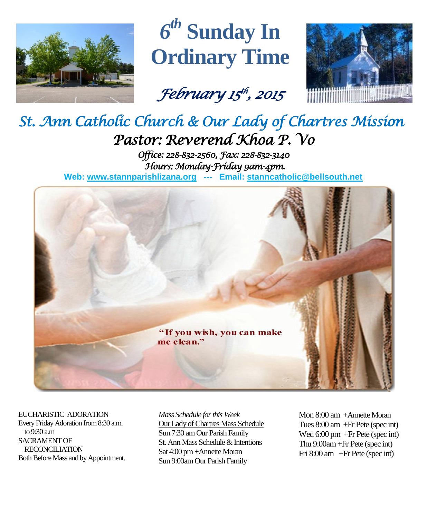

*6 th* **Sunday In Ordinary Time**

*February 15 th , 2015* 



# *St. Ann Catholic Church & Our Lady of Chartres Mission Pastor: Reverend Khoa P. Vo*

*Office: 228-832-2560, Fax: 228-832-3140 Hours: Monday-Friday 9am-4pm.*  **Web: www.stannparishlizana.org --- Email: [stanncatholic@bellsouth.net](mailto:stanncatholic@bellsouth.net)**



EUCHARISTIC ADORATION Every Friday Adoration from 8:30 a.m. to 9:30 a.m SACRAMENT OF RECONCILIATION Both Before Mass and by Appointment. *Mass Schedule for this Week*  Our Lady of Chartres Mass Schedule Sun 7:30 am Our Parish Family St. Ann Mass Schedule & Intentions Sat 4:00 pm+Annette Moran Sun 9:00am Our Parish Family

Mon 8:00 am +Annette Moran Tues 8:00 am +Fr Pete (spec int) Wed 6:00 pm +Fr Pete (spec int) Thu 9:00am+Fr Pete (spec int) Fri 8:00 am +Fr Pete (spec int)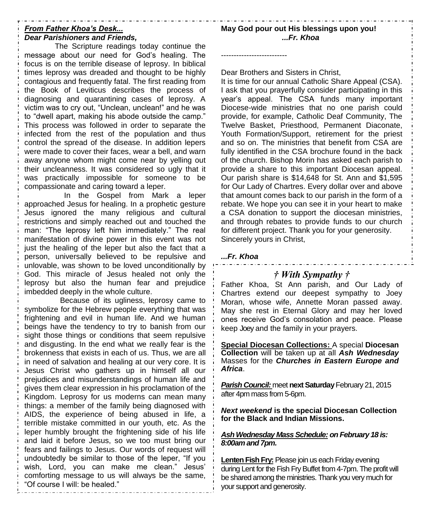#### *From Father Khoa's Desk... Dear Parishioners and Friends,*

The Scripture readings today continue the message about our need for God's healing. The focus is on the terrible disease of leprosy. In biblical times leprosy was dreaded and thought to be highly contagious and frequently fatal. The first reading from the Book of Leviticus describes the process of diagnosing and quarantining cases of leprosy. A victim was to cry out, "Unclean, unclean!" and he was to "dwell apart, making his abode outside the camp." This process was followed in order to separate the infected from the rest of the population and thus control the spread of the disease. In addition lepers were made to cover their faces, wear a bell, and warn away anyone whom might come near by yelling out their uncleanness. It was considered so ugly that it was practically impossible for someone to be compassionate and caring toward a leper.

In the Gospel from Mark a leper approached Jesus for healing. In a prophetic gesture Jesus ignored the many religious and cultural restrictions and simply reached out and touched the man: "The leprosy left him immediately." The real manifestation of divine power in this event was not just the healing of the leper but also the fact that a person, universally believed to be repulsive and unlovable, was shown to be loved unconditionally by God. This miracle of Jesus healed not only the leprosy but also the human fear and prejudice imbedded deeply in the whole culture.

Because of its ugliness, leprosy came to symbolize for the Hebrew people everything that was frightening and evil in human life. And we human beings have the tendency to try to banish from our sight those things or conditions that seem repulsive and disgusting. In the end what we really fear is the brokenness that exists in each of us. Thus, we are all in need of salvation and healing at our very core. It is Jesus Christ who gathers up in himself all our prejudices and misunderstandings of human life and gives them clear expression in his proclamation of the Kingdom. Leprosy for us moderns can mean many things: a member of the family being diagnosed with AIDS, the experience of being abused in life, a terrible mistake committed in our youth, etc. As the leper humbly brought the frightening side of his life and laid it before Jesus, so we too must bring our fears and failings to Jesus. Our words of request will undoubtedly be similar to those of the leper, "If you wish, Lord, you can make me clean." Jesus' comforting message to us will always be the same, "Of course I will: be healed."

Dear Brothers and Sisters in Christ,

--------------------------

It is time for our annual Catholic Share Appeal (CSA). I ask that you prayerfully consider participating in this year's appeal. The CSA funds many important Diocese-wide ministries that no one parish could provide, for example, Catholic Deaf Community, The Twelve Basket, Priesthood, Permanent Diaconate, Youth Formation/Support, retirement for the priest and so on. The ministries that benefit from CSA are fully identified in the CSA brochure found in the back of the church. Bishop Morin has asked each parish to provide a share to this important Diocesan appeal. Our parish share is \$14,648 for St. Ann and \$1,595 for Our Lady of Chartres. Every dollar over and above that amount comes back to our parish in the form of a rebate. We hope you can see it in your heart to make a CSA donation to support the diocesan ministries, and through rebates to provide funds to our church for different project. Thank you for your generosity. Sincerely yours in Christ,

## *...Fr. Khoa*

## *† With Sympathy †*

Father Khoa, St Ann parish, and Our Lady of Chartres extend our deepest sympathy to Joey Moran, whose wife, Annette Moran passed away. May she rest in Eternal Glory and may her loved ones receive God's consolation and peace. Please keep Joey and the family in your prayers.

**Special Diocesan Collections:** A special **Diocesan Collection** will be taken up at all *Ash Wednesday* Masses for the *Churches in Eastern Europe and Africa*.

**Parish Council: meet next Saturday February 21, 2015** after 4pm mass from 5-6pm.

*Next weekend* **is the special Diocesan Collection for the Black and Indian Missions.**

## *Ash Wednesday Mass Schedule: on February 18 is: 8:00am and 7pm.*

**Lenten Fish Fry:** Please join us each Friday evening during Lent for the Fish Fry Buffet from 4-7pm. The profit will be shared among the ministries. Thank you very much for your support and generosity.